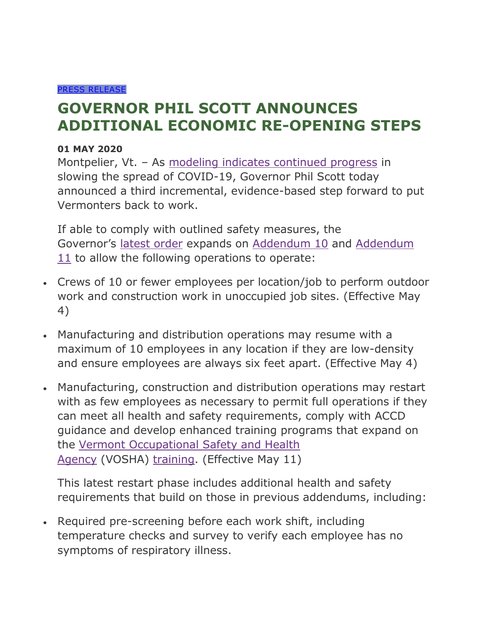## [PRESS RELEASE](https://governor.vermont.gov/press_releases)

## **GOVERNOR PHIL SCOTT ANNOUNCES ADDITIONAL ECONOMIC RE-OPENING STEPS**

## **01 MAY 2020**

Montpelier, Vt. - As [modeling indicates continued progress](https://dfr.vermont.gov/document/covid-19-modeling-may-1-2020) in slowing the spread of COVID-19, Governor Phil Scott today announced a third incremental, evidence-based step forward to put Vermonters back to work.

If able to comply with outlined safety measures, the Governor's [latest order](https://governor.vermont.gov/content/addendum-12-executive-order-01-20) expands on [Addendum 10](https://governor.vermont.gov/sites/scott/files/documents/ADDENDUM%2010%20TO%20EXECUTIVE%20ORDER%2001-20_0.pdf) and [Addendum](https://governor.vermont.gov/content/addendum-11-executive-order-01-20)   $11$  to allow the following operations to operate:

- Crews of 10 or fewer employees per location/job to perform outdoor work and construction work in unoccupied job sites. (Effective May 4)
- Manufacturing and distribution operations may resume with a maximum of 10 employees in any location if they are low-density and ensure employees are always six feet apart. (Effective May 4)
- Manufacturing, construction and distribution operations may restart with as few employees as necessary to permit full operations if they can meet all health and safety requirements, comply with ACCD guidance and develop enhanced training programs that expand on the [Vermont Occupational Safety and Health](https://labor.vermont.gov/vermont-occupational-safety-and-health-administration-vosha)  [Agency](https://labor.vermont.gov/vermont-occupational-safety-and-health-administration-vosha) (VOSHA) [training.](https://labor.vermont.gov/document/protecting-safety-and-health-workers-vosha) (Effective May 11)

This latest restart phase includes additional health and safety requirements that build on those in previous addendums, including:

• Required pre-screening before each work shift, including temperature checks and survey to verify each employee has no symptoms of respiratory illness.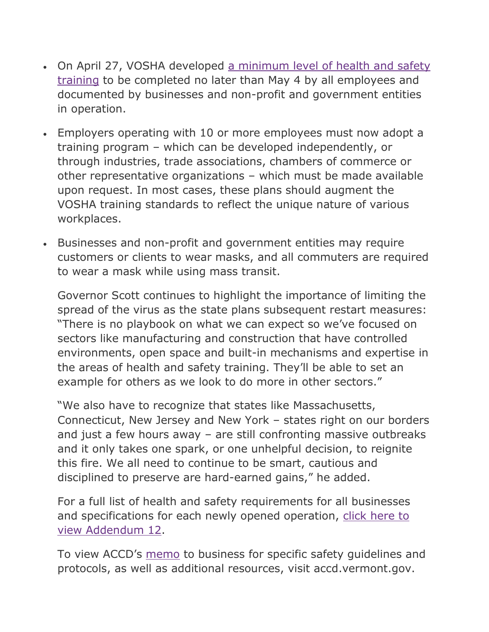- On April 27, VOSHA developed [a minimum level of health and safety](https://labor.vermont.gov/document/protecting-safety-and-health-workers-vosha)  [training](https://labor.vermont.gov/document/protecting-safety-and-health-workers-vosha) to be completed no later than May 4 by all employees and documented by businesses and non-profit and government entities in operation.
- Employers operating with 10 or more employees must now adopt a training program – which can be developed independently, or through industries, trade associations, chambers of commerce or other representative organizations – which must be made available upon request. In most cases, these plans should augment the VOSHA training standards to reflect the unique nature of various workplaces.
- Businesses and non-profit and government entities may require customers or clients to wear masks, and all commuters are required to wear a mask while using mass transit.

Governor Scott continues to highlight the importance of limiting the spread of the virus as the state plans subsequent restart measures: "There is no playbook on what we can expect so we've focused on sectors like manufacturing and construction that have controlled environments, open space and built-in mechanisms and expertise in the areas of health and safety training. They'll be able to set an example for others as we look to do more in other sectors."

"We also have to recognize that states like Massachusetts, Connecticut, New Jersey and New York – states right on our borders and just a few hours away – are still confronting massive outbreaks and it only takes one spark, or one unhelpful decision, to reignite this fire. We all need to continue to be smart, cautious and disciplined to preserve are hard-earned gains," he added.

For a full list of health and safety requirements for all businesses and specifications for each newly opened operation, click here to [view Addendum 12.](https://governor.vermont.gov/content/addendum-12-executive-order-01-20)

To view ACCD's [memo](https://accd.vermont.gov/news/update-new-work-safe-additions-stay-home-stay-safe-order) to business for specific safety guidelines and protocols, as well as additional resources, visit accd.vermont.gov.